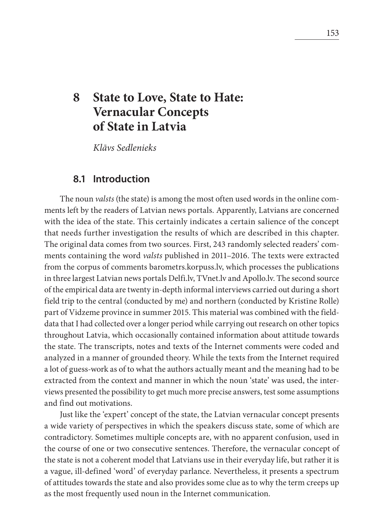# **8 State to Love, State to Hate: Vernacular Concepts of State in Latvia**

*Kl*ā*[vs Sedlenieks](#page--1-0)*

### **8.1 Introduction**

The noun *valsts* (the state) is among the most often used words in the online comments left by the readers of Latvian news portals. Apparently, Latvians are concerned with the idea of the state. This certainly indicates a certain salience of the concept that needs further investigation the results of which are described in this chapter. The original data comes from two sources. First, 243 randomly selected readers' comments containing the word *valsts* published in 2011–2016. The texts were extracted from the corpus of comments barometrs.korpuss.lv, which processes the publications in three largest Latvian news portals Delfi.lv, TVnet.lv and Apollo.lv. The second source of the empirical data are twenty in-depth informal interviews carried out during a short field trip to the central (conducted by me) and northern (conducted by Kristīne Rolle) part of Vidzeme province in summer 2015. This material was combined with the fielddata that I had collected over a longer period while carrying out research on other topics throughout Latvia, which occasionally contained information about attitude towards the state. The transcripts, notes and texts of the Internet comments were coded and analyzed in a manner of grounded theory. While the texts from the Internet required a lot of guess-work as of to what the authors actually meant and the meaning had to be extracted from the context and manner in which the noun 'state' was used, the interviews presented the possibility to get much more precise answers, test some assumptions and find out motivations.

Just like the 'expert' concept of the state, the Latvian vernacular concept presents a wide variety of perspectives in which the speakers discuss state, some of which are contradictory. Sometimes multiple concepts are, with no apparent confusion, used in the course of one or two consecutive sentences. Therefore, the vernacular concept of the state is not a coherent model that Latvians use in their everyday life, but rather it is a vague, ill-defined 'word' of everyday parlance. Nevertheless, it presents a spectrum of attitudes towards the state and also provides some clue as to why the term creeps up as the most frequently used noun in the Internet communication.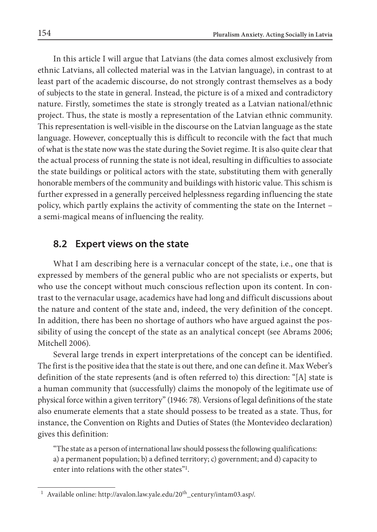In this article I will argue that Latvians (the data comes almost exclusively from ethnic Latvians, all collected material was in the Latvian language), in contrast to at least part of the academic discourse, do not strongly contrast themselves as a body of subjects to the state in general. Instead, the picture is of a mixed and contradictory nature. Firstly, sometimes the state is strongly treated as a Latvian national/ethnic project. Thus, the state is mostly a representation of the Latvian ethnic community. This representation is well-visible in the discourse on the Latvian language as the state language. However, conceptually this is difficult to reconcile with the fact that much of what is the state now was the state during the Soviet regime. It is also quite clear that the actual process of running the state is not ideal, resulting in difficulties to associate the state buildings or political actors with the state, substituting them with generally honorable members of the community and buildings with historic value. This schism is further expressed in a generally perceived helplessness regarding influencing the state policy, which partly explains the activity of commenting the state on the Internet – a semi-magical means of influencing the reality.

# **8.2 Expert views on the state**

What I am describing here is a vernacular concept of the state, i.e., one that is expressed by members of the general public who are not specialists or experts, but who use the concept without much conscious reflection upon its content. In contrast to the vernacular usage, academics have had long and difficult discussions about the nature and content of the state and, indeed, the very definition of the concept. In addition, there has been no shortage of authors who have argued against the possibility of using the concept of the state as an analytical concept (see Abrams 2006; Mitchell 2006).

Several large trends in expert interpretations of the concept can be identified. The first is the positive idea that the state is out there, and one can define it. Max Weber's definition of the state represents (and is often referred to) this direction: "[A] state is a human community that (successfully) claims the monopoly of the legitimate use of physical force within a given territory" (1946: 78). Versions of legal definitions of the state also enumerate elements that a state should possess to be treated as a state. Thus, for instance, the Convention on Rights and Duties of States (the Montevideo declaration) gives this definition:

"The state as a person of international law should possess the following qualifications: a) a permanent population; b) a defined territory; c) government; and d) capacity to enter into relations with the other states"1.

<sup>&</sup>lt;sup>1</sup> Available online: http://avalon.law.yale.edu/20<sup>th</sup> century/intam03.asp/.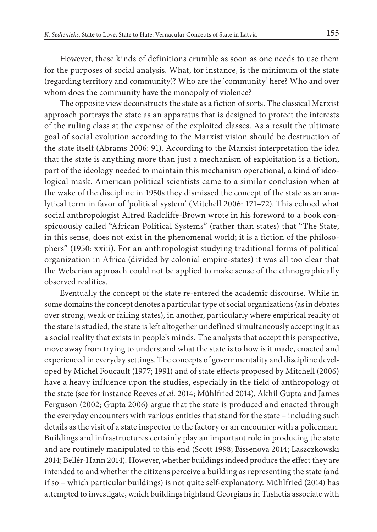However, these kinds of definitions crumble as soon as one needs to use them for the purposes of social analysis. What, for instance, is the minimum of the state (regarding territory and community)? Who are the 'community' here? Who and over whom does the community have the monopoly of violence?

The opposite view deconstructs the state as a fiction of sorts. The classical Marxist approach portrays the state as an apparatus that is designed to protect the interests of the ruling class at the expense of the exploited classes. As a result the ultimate goal of social evolution according to the Marxist vision should be destruction of the state itself (Abrams 2006: 91). According to the Marxist interpretation the idea that the state is anything more than just a mechanism of exploitation is a fiction, part of the ideology needed to maintain this mechanism operational, a kind of ideological mask. American political scientists came to a similar conclusion when at the wake of the discipline in 1950s they dismissed the concept of the state as an analytical term in favor of 'political system' (Mitchell 2006: 171–72). This echoed what social anthropologist Alfred Radcliffe-Brown wrote in his foreword to a book conspicuously called "African Political Systems" (rather than states) that "The State, in this sense, does not exist in the phenomenal world; it is a fiction of the philosophers" (1950: xxiii). For an anthropologist studying traditional forms of political organization in Africa (divided by colonial empire-states) it was all too clear that the Weberian approach could not be applied to make sense of the ethnographically observed realities.

Eventually the concept of the state re-entered the academic discourse. While in some domains the concept denotes a particular type of social organizations (as in debates over strong, weak or failing states), in another, particularly where empirical reality of the state is studied, the state is left altogether undefined simultaneously accepting it as a social reality that exists in people's minds. The analysts that accept this perspective, move away from trying to understand what the state is to how is it made, enacted and experienced in everyday settings. The concepts of governmentality and discipline developed by Michel Foucault (1977; 1991) and of state effects proposed by Mitchell (2006) have a heavy influence upon the studies, especially in the field of anthropology of the state (see for instance Reeves *et al.* 2014; Mühlfried 2014). Akhil Gupta and James Ferguson (2002; Gupta 2006) argue that the state is produced and enacted through the everyday encounters with various entities that stand for the state – including such details as the visit of a state inspector to the factory or an encounter with a policeman. Buildings and infrastructures certainly play an important role in producing the state and are routinely manipulated to this end (Scott 1998; Bissenova 2014; Laszczkowski 2014; Bellér-Hann 2014). However, whether buildings indeed produce the effect they are intended to and whether the citizens perceive a building as representing the state (and if so – which particular buildings) is not quite self-explanatory. Mühlfried (2014) has attempted to investigate, which buildings highland Georgians in Tushetia associate with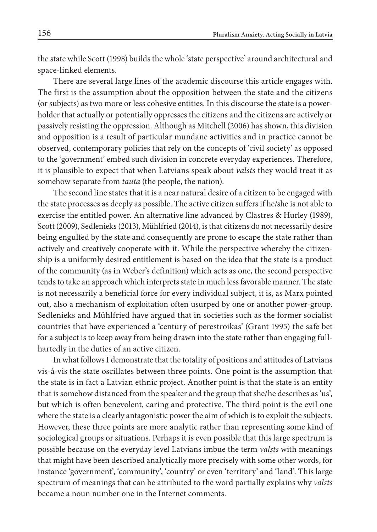the state while Scott (1998) builds the whole 'state perspective' around architectural and space-linked elements.

There are several large lines of the academic discourse this article engages with. The first is the assumption about the opposition between the state and the citizens (or subjects) as two more or less cohesive entities. In this discourse the state is a powerholder that actually or potentially oppresses the citizens and the citizens are actively or passively resisting the oppression. Although as Mitchell (2006) has shown, this division and opposition is a result of particular mundane activities and in practice cannot be observed, contemporary policies that rely on the concepts of 'civil society' as opposed to the 'government' embed such division in concrete everyday experiences. Therefore, it is plausible to expect that when Latvians speak about *valsts* they would treat it as somehow separate from *tauta* (the people, the nation).

The second line states that it is a near natural desire of a citizen to be engaged with the state processes as deeply as possible. The active citizen suffers if he/she is not able to exercise the entitled power. An alternative line advanced by Clastres & Hurley (1989), Scott (2009), Sedlenieks (2013), Mühlfried (2014), is that citizens do not necessarily desire being engulfed by the state and consequently are prone to escape the state rather than actively and creatively cooperate with it. While the perspective whereby the citizenship is a uniformly desired entitlement is based on the idea that the state is a product of the community (as in Weber's definition) which acts as one, the second perspective tends to take an approach which interprets state in much less favorable manner. The state is not necessarily a beneficial force for every individual subject, it is, as Marx pointed out, also a mechanism of exploitation often usurped by one or another power-group. Sedlenieks and Mühlfried have argued that in societies such as the former socialist countries that have experienced a 'century of perestroikas' (Grant 1995) the safe bet for a subject is to keep away from being drawn into the state rather than engaging fullhartedly in the duties of an active citizen.

In what follows I demonstrate that the totality of positions and attitudes of Latvians vis-à-vis the state oscillates between three points. One point is the assumption that the state is in fact a Latvian ethnic project. Another point is that the state is an entity that is somehow distanced from the speaker and the group that she/he describes as 'us', but which is often benevolent, caring and protective. The third point is the evil one where the state is a clearly antagonistic power the aim of which is to exploit the subjects. However, these three points are more analytic rather than representing some kind of sociological groups or situations. Perhaps it is even possible that this large spectrum is possible because on the everyday level Latvians imbue the term *valsts* with meanings that might have been described analytically more precisely with some other words, for instance 'government', 'community', 'country' or even 'territory' and 'land'. This large spectrum of meanings that can be attributed to the word partially explains why *valsts* became a noun number one in the Internet comments.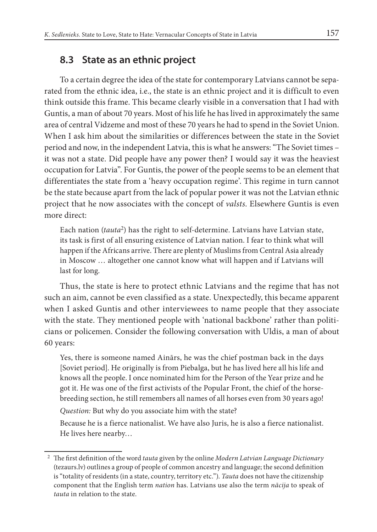# <span id="page-4-0"></span>**8.3 State as an ethnic project**

To a certain degree the idea of the state for contemporary Latvians cannot be separated from the ethnic idea, i.e., the state is an ethnic project and it is difficult to even think outside this frame. This became clearly visible in a conversation that I had with Guntis, a man of about 70 years. Most of his life he has lived in approximately the same area of central Vidzeme and most of these 70 years he had to spend in the Soviet Union. When I ask him about the similarities or differences between the state in the Soviet period and now, in the independent Latvia, this is what he answers: "The Soviet times – it was not a state. Did people have any power then? I would say it was the heaviest occupation for Latvia". For Guntis, the power of the people seems to be an element that differentiates the state from a 'heavy occupation regime'. This regime in turn cannot be the state because apart from the lack of popular power it was not the Latvian ethnic project that he now associates with the concept of *valsts*. Elsewhere Guntis is even more direct:

Each nation (*tauta*2) has the right to self-determine. Latvians have Latvian state, its task is first of all ensuring existence of Latvian nation. I fear to think what will happen if the Africans arrive. There are plenty of Muslims from Central Asia already in Moscow … altogether one cannot know what will happen and if Latvians will last for long.

Thus, the state is here to protect ethnic Latvians and the regime that has not such an aim, cannot be even classified as a state. Unexpectedly, this became apparent when I asked Guntis and other interviewees to name people that they associate with the state. They mentioned people with 'national backbone' rather than politicians or policemen. Consider the following conversation with Uldis, a man of about 60 years:

Yes, there is someone named Ainārs, he was the chief postman back in the days [Soviet period]. He originally is from Piebalga, but he has lived here all his life and knows all the people. I once nominated him for the Person of the Year prize and he got it. He was one of the first activists of the Popular Front, the chief of the horsebreeding section, he still remembers all names of all horses even from 30 years ago!

*Question:* But why do you associate him with the state?

Because he is a fierce nationalist. We have also Juris, he is also a fierce nationalist. He lives here nearby…

<sup>&</sup>lt;sup>2</sup> The first definition of the word *tauta* given by the online *Modern Latvian Language Dictionary* (tezaurs.lv) outlines a group of people of common ancestry and language; the second defnition is "totality of residents (in a state, country, territory etc."). *Tauta* does not have the citizenship component that the English term *nation* has. Latvians use also the term *n*ā*cija* to speak of *tauta* in relation to the state.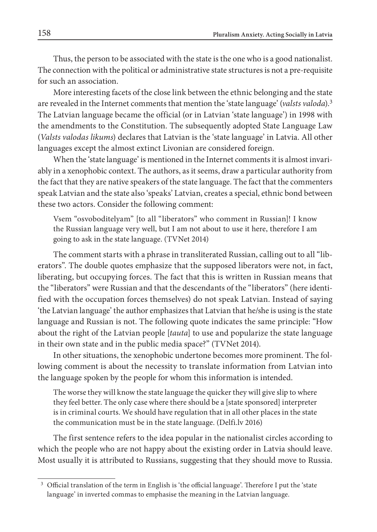Thus, the person to be associated with the state is the one who is a good nationalist. The connection with the political or administrative state structures is not a pre-requisite for such an association.

More interesting facets of the close link between the ethnic belonging and the state are revealed in the Internet comments that mention the 'state language' (*valsts valoda*).3 The Latvian language became the official (or in Latvian 'state language') in 1998 with the amendments to the Constitution. The subsequently adopted State Language Law (*Valsts valodas likums*) declares that Latvian is the 'state language' in Latvia. All other languages except the almost extinct Livonian are considered foreign.

When the 'state language' is mentioned in the Internet comments it is almost invariably in a xenophobic context. The authors, as it seems, draw a particular authority from the fact that they are native speakers of the state language. The fact that the commenters speak Latvian and the state also 'speaks' Latvian, creates a special, ethnic bond between these two actors. Consider the following comment:

Vsem "osvoboditelyam" [to all "liberators" who comment in Russian]! I know the Russian language very well, but I am not about to use it here, therefore I am going to ask in the state language. (TVNet 2014)

The comment starts with a phrase in transliterated Russian, calling out to all "liberators". The double quotes emphasize that the supposed liberators were not, in fact, liberating, but occupying forces. The fact that this is written in Russian means that the "liberators" were Russian and that the descendants of the "liberators" (here identified with the occupation forces themselves) do not speak Latvian. Instead of saying 'the Latvian language' the author emphasizes that Latvian that he/she is using is the state language and Russian is not. The following quote indicates the same principle: "How about the right of the Latvian people [*tauta*] to use and popularize the state language in their own state and in the public media space?" (TVNet 2014).

In other situations, the xenophobic undertone becomes more prominent. The following comment is about the necessity to translate information from Latvian into the language spoken by the people for whom this information is intended.

The worse they will know the state language the quicker they will give slip to where they feel better. The only case where there should be a [state sponsored] interpreter is in criminal courts. We should have regulation that in all other places in the state the communication must be in the state language. (Delfi.lv 2016)

The first sentence refers to the idea popular in the nationalist circles according to which the people who are not happy about the existing order in Latvia should leave. Most usually it is attributed to Russians, suggesting that they should move to Russia.

<sup>&</sup>lt;sup>3</sup> Official translation of the term in English is 'the official language'. Therefore I put the 'state language' in inverted commas to emphasise the meaning in the Latvian language.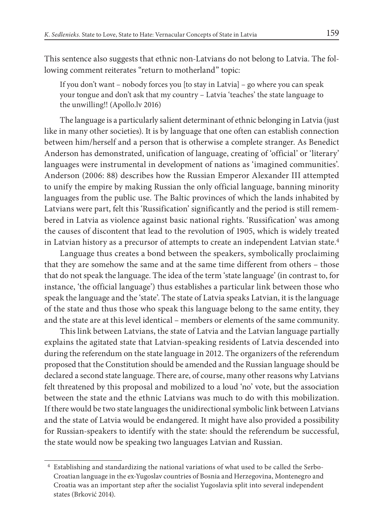This sentence also suggests that ethnic non-Latvians do not belong to Latvia. The following comment reiterates "return to motherland" topic:

If you don't want – nobody forces you [to stay in Latvia] – go where you can speak your tongue and don't ask that my country – Latvia 'teaches' the state language to the unwilling!! (Apollo.lv 2016)

The language is a particularly salient determinant of ethnic belonging in Latvia (just like in many other societies). It is by language that one often can establish connection between him/herself and a person that is otherwise a complete stranger. As Benedict Anderson has demonstrated, unification of language, creating of 'official' or 'literary' languages were instrumental in development of nations as 'imagined communities'. Anderson (2006: 88) describes how the Russian Emperor Alexander III attempted to unify the empire by making Russian the only official language, banning minority languages from the public use. The Baltic provinces of which the lands inhabited by Latvians were part, felt this 'Russification' significantly and the period is still remembered in Latvia as violence against basic national rights. 'Russification' was among the causes of discontent that lead to the revolution of 1905, which is widely treated in Latvian history as a precursor of attempts to create an independent Latvian state. $4$ 

Language thus creates a bond between the speakers, symbolically proclaiming that they are somehow the same and at the same time different from others – those that do not speak the language. The idea of the term 'state language' (in contrast to, for instance, 'the official language') thus establishes a particular link between those who speak the language and the 'state'. The state of Latvia speaks Latvian, it is the language of the state and thus those who speak this language belong to the same entity, they and the state are at this level identical – members or elements of the same community.

This link between Latvians, the state of Latvia and the Latvian language partially explains the agitated state that Latvian-speaking residents of Latvia descended into during the referendum on the state language in 2012. The organizers of the referendum proposed that the Constitution should be amended and the Russian language should be declared a second state language. There are, of course, many other reasons why Latvians felt threatened by this proposal and mobilized to a loud 'no' vote, but the association between the state and the ethnic Latvians was much to do with this mobilization. If there would be two state languages the unidirectional symbolic link between Latvians and the state of Latvia would be endangered. It might have also provided a possibility for Russian-speakers to identify with the state: should the referendum be successful, the state would now be speaking two languages Latvian and Russian.

<sup>4</sup> Establishing and standardizing the national variations of what used to be called the Serbo-Croatian language in the ex-Yugoslav countries of Bosnia and Herzegovina, Montenegro and Croatia was an important step afer the socialist Yugoslavia split into several independent states (Brković 2014).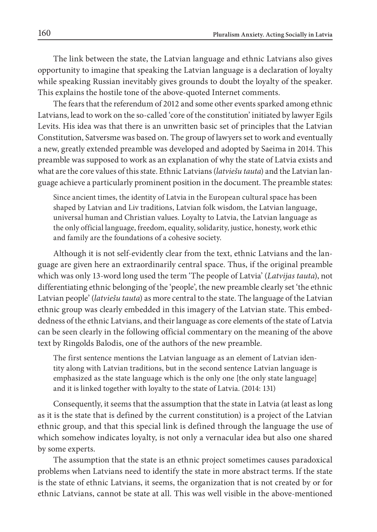The link between the state, the Latvian language and ethnic Latvians also gives opportunity to imagine that speaking the Latvian language is a declaration of loyalty while speaking Russian inevitably gives grounds to doubt the loyalty of the speaker. This explains the hostile tone of the above-quoted Internet comments.

The fears that the referendum of 2012 and some other events sparked among ethnic Latvians, lead to work on the so-called 'core of the constitution' initiated by lawyer Egils Levits. His idea was that there is an unwritten basic set of principles that the Latvian Constitution, Satversme was based on. The group of lawyers set to work and eventually a new, greatly extended preamble was developed and adopted by Saeima in 2014. This preamble was supposed to work as an explanation of why the state of Latvia exists and what are the core values of this state. Ethnic Latvians (*latvie*š*u tauta*) and the Latvian language achieve a particularly prominent position in the document. The preamble states:

Since ancient times, the identity of Latvia in the European cultural space has been shaped by Latvian and Liv traditions, Latvian folk wisdom, the Latvian language, universal human and Christian values. Loyalty to Latvia, the Latvian language as the only official language, freedom, equality, solidarity, justice, honesty, work ethic and family are the foundations of a cohesive society.

Although it is not self-evidently clear from the text, ethnic Latvians and the language are given here an extraordinarily central space. Thus, if the original preamble which was only 13-word long used the term 'The people of Latvia' (*Latvijas tauta*), not differentiating ethnic belonging of the 'people', the new preamble clearly set 'the ethnic Latvian people' (*latvie*š*u tauta*) as more central to the state. The language of the Latvian ethnic group was clearly embedded in this imagery of the Latvian state. This embeddedness of the ethnic Latvians, and their language as core elements of the state of Latvia can be seen clearly in the following official commentary on the meaning of the above text by Ringolds Balodis, one of the authors of the new preamble.

The first sentence mentions the Latvian language as an element of Latvian identity along with Latvian traditions, but in the second sentence Latvian language is emphasized as the state language which is the only one [the only state language] and it is linked together with loyalty to the state of Latvia. (2014: 131)

Consequently, it seems that the assumption that the state in Latvia (at least as long as it is the state that is defined by the current constitution) is a project of the Latvian ethnic group, and that this special link is defined through the language the use of which somehow indicates loyalty, is not only a vernacular idea but also one shared by some experts.

The assumption that the state is an ethnic project sometimes causes paradoxical problems when Latvians need to identify the state in more abstract terms. If the state is the state of ethnic Latvians, it seems, the organization that is not created by or for ethnic Latvians, cannot be state at all. This was well visible in the above-mentioned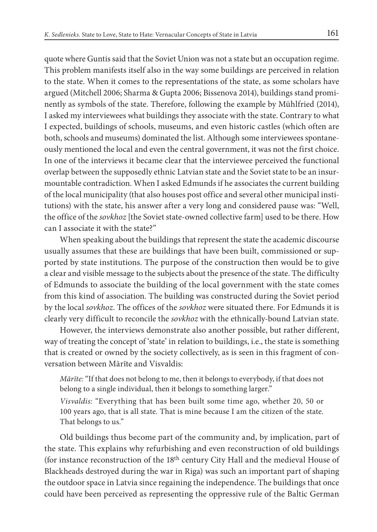quote where Guntis said that the Soviet Union was not a state but an occupation regime. This problem manifests itself also in the way some buildings are perceived in relation to the state. When it comes to the representations of the state, as some scholars have argued (Mitchell 2006; Sharma & Gupta 2006; Bissenova 2014), buildings stand prominently as symbols of the state. Therefore, following the example by Mühlfried (2014), I asked my interviewees what buildings they associate with the state. Contrary to what I expected, buildings of schools, museums, and even historic castles (which often are both, schools and museums) dominated the list. Although some interviewees spontaneously mentioned the local and even the central government, it was not the first choice. In one of the interviews it became clear that the interviewee perceived the functional overlap between the supposedly ethnic Latvian state and the Soviet state to be an insurmountable contradiction. When I asked Edmunds if he associates the current building of the local municipality (that also houses post office and several other municipal institutions) with the state, his answer after a very long and considered pause was: "Well, the office of the *sovkhoz* [the Soviet state-owned collective farm] used to be there. How can I associate it with the state?"

When speaking about the buildings that represent the state the academic discourse usually assumes that these are buildings that have been built, commissioned or supported by state institutions. The purpose of the construction then would be to give a clear and visible message to the subjects about the presence of the state. The difficulty of Edmunds to associate the building of the local government with the state comes from this kind of association. The building was constructed during the Soviet period by the local *sovkhoz*. The offices of the *sovkhoz* were situated there. For Edmunds it is clearly very difficult to reconcile the *sovkhoz* with the ethnically-bound Latvian state.

However, the interviews demonstrate also another possible, but rather different, way of treating the concept of 'state' in relation to buildings, i.e., the state is something that is created or owned by the society collectively, as is seen in this fragment of conversation between Mārīte and Visvaldis:

*M*ā*r*ī*te:* "If that does not belong to me, then it belongs to everybody, if that does not belong to a single individual, then it belongs to something larger."

*Visvaldis:* "Everything that has been built some time ago, whether 20, 50 or 100 years ago, that is all state. That is mine because I am the citizen of the state. That belongs to us."

Old buildings thus become part of the community and, by implication, part of the state. This explains why refurbishing and even reconstruction of old buildings (for instance reconstruction of the 18th century City Hall and the medieval House of Blackheads destroyed during the war in Riga) was such an important part of shaping the outdoor space in Latvia since regaining the independence. The buildings that once could have been perceived as representing the oppressive rule of the Baltic German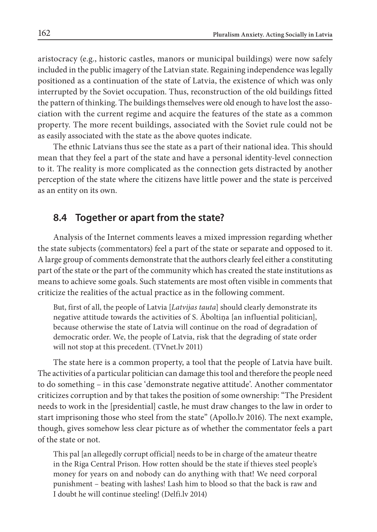aristocracy (e.g., historic castles, manors or municipal buildings) were now safely included in the public imagery of the Latvian state. Regaining independence was legally positioned as a continuation of the state of Latvia, the existence of which was only interrupted by the Soviet occupation. Thus, reconstruction of the old buildings fitted the pattern of thinking. The buildings themselves were old enough to have lost the association with the current regime and acquire the features of the state as a common property. The more recent buildings, associated with the Soviet rule could not be as easily associated with the state as the above quotes indicate.

The ethnic Latvians thus see the state as a part of their national idea. This should mean that they feel a part of the state and have a personal identity-level connection to it. The reality is more complicated as the connection gets distracted by another perception of the state where the citizens have little power and the state is perceived as an entity on its own.

# **8.4 Together or apart from the state?**

Analysis of the Internet comments leaves a mixed impression regarding whether the state subjects (commentators) feel a part of the state or separate and opposed to it. A large group of comments demonstrate that the authors clearly feel either a constituting part of the state or the part of the community which has created the state institutions as means to achieve some goals. Such statements are most often visible in comments that criticize the realities of the actual practice as in the following comment.

But, first of all, the people of Latvia [*Latvijas tauta*] should clearly demonstrate its negative attitude towards the activities of S. Āboltiņa [an influential politician], because otherwise the state of Latvia will continue on the road of degradation of democratic order. We, the people of Latvia, risk that the degrading of state order will not stop at this precedent. (TVnet.lv 2011)

The state here is a common property, a tool that the people of Latvia have built. The activities of a particular politician can damage this tool and therefore the people need to do something – in this case 'demonstrate negative attitude'. Another commentator criticizes corruption and by that takes the position of some ownership: "The President needs to work in the [presidential] castle, he must draw changes to the law in order to start imprisoning those who steel from the state" (Apollo.lv 2016). The next example, though, gives somehow less clear picture as of whether the commentator feels a part of the state or not.

This pal [an allegedly corrupt official] needs to be in charge of the amateur theatre in the Riga Central Prison. How rotten should be the state if thieves steel people's money for years on and nobody can do anything with that! We need corporal punishment – beating with lashes! Lash him to blood so that the back is raw and I doubt he will continue steeling! (Delfi.lv 2014)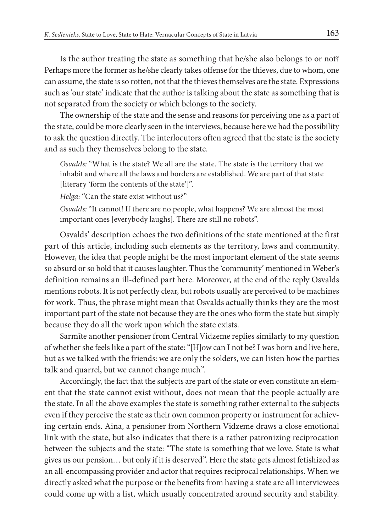Is the author treating the state as something that he/she also belongs to or not? Perhaps more the former as he/she clearly takes offense for the thieves, due to whom, one can assume, the state is so rotten, not that the thieves themselves are the state. Expressions such as 'our state' indicate that the author is talking about the state as something that is not separated from the society or which belongs to the society.

The ownership of the state and the sense and reasons for perceiving one as a part of the state, could be more clearly seen in the interviews, because here we had the possibility to ask the question directly. The interlocutors often agreed that the state is the society and as such they themselves belong to the state.

*Osvalds:* "What is the state? We all are the state. The state is the territory that we inhabit and where all the laws and borders are established. We are part of that state [literary 'form the contents of the state']".

*Helga:* "Can the state exist without us?"

*Osvalds:* "It cannot! If there are no people, what happens? We are almost the most important ones [everybody laughs]. There are still no robots".

Osvalds' description echoes the two definitions of the state mentioned at the first part of this article, including such elements as the territory, laws and community. However, the idea that people might be the most important element of the state seems so absurd or so bold that it causes laughter. Thus the 'community' mentioned in Weber's definition remains an ill-defined part here. Moreover, at the end of the reply Osvalds mentions robots. It is not perfectly clear, but robots usually are perceived to be machines for work. Thus, the phrase might mean that Osvalds actually thinks they are the most important part of the state not because they are the ones who form the state but simply because they do all the work upon which the state exists.

Sarmīte another pensioner from Central Vidzeme replies similarly to my question of whether she feels like a part of the state: "[H]ow can I not be? I was born and live here, but as we talked with the friends: we are only the solders, we can listen how the parties talk and quarrel, but we cannot change much".

Accordingly, the fact that the subjects are part of the state or even constitute an element that the state cannot exist without, does not mean that the people actually are the state. In all the above examples the state is something rather external to the subjects even if they perceive the state as their own common property or instrument for achieving certain ends. Aina, a pensioner from Northern Vidzeme draws a close emotional link with the state, but also indicates that there is a rather patronizing reciprocation between the subjects and the state: "The state is something that we love. State is what gives us our pension… but only if it is deserved". Here the state gets almost fetishized as an all-encompassing provider and actor that requires reciprocal relationships. When we directly asked what the purpose or the benefits from having a state are all interviewees could come up with a list, which usually concentrated around security and stability.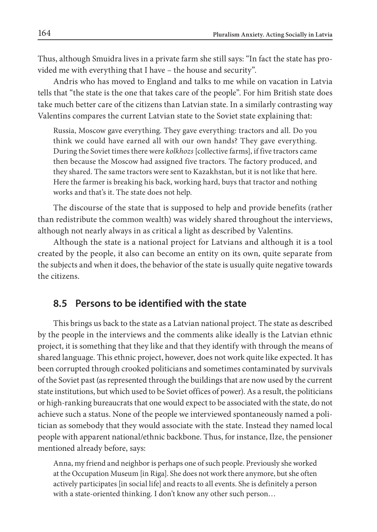Thus, although Smuidra lives in a private farm she still says: "In fact the state has provided me with everything that I have – the house and security".

Andris who has moved to England and talks to me while on vacation in Latvia tells that "the state is the one that takes care of the people". For him British state does take much better care of the citizens than Latvian state. In a similarly contrasting way Valentīns compares the current Latvian state to the Soviet state explaining that:

Russia, Moscow gave everything. They gave everything: tractors and all. Do you think we could have earned all with our own hands? They gave everything. During the Soviet times there were *kolkhozs* [collective farms], if five tractors came then because the Moscow had assigned five tractors. The factory produced, and they shared. The same tractors were sent to Kazakhstan, but it is not like that here. Here the farmer is breaking his back, working hard, buys that tractor and nothing works and that's it. The state does not help.

The discourse of the state that is supposed to help and provide benefits (rather than redistribute the common wealth) was widely shared throughout the interviews, although not nearly always in as critical a light as described by Valentīns.

Although the state is a national project for Latvians and although it is a tool created by the people, it also can become an entity on its own, quite separate from the subjects and when it does, the behavior of the state is usually quite negative towards the citizens.

# **8.5 Persons to be identified with the state**

This brings us back to the state as a Latvian national project. The state as described by the people in the interviews and the comments alike ideally is the Latvian ethnic project, it is something that they like and that they identify with through the means of shared language. This ethnic project, however, does not work quite like expected. It has been corrupted through crooked politicians and sometimes contaminated by survivals of the Soviet past (as represented through the buildings that are now used by the current state institutions, but which used to be Soviet offices of power). As a result, the politicians or high-ranking bureaucrats that one would expect to be associated with the state, do not achieve such a status. None of the people we interviewed spontaneously named a politician as somebody that they would associate with the state. Instead they named local people with apparent national/ethnic backbone. Thus, for instance, Ilze, the pensioner mentioned already before, says:

Anna, my friend and neighbor is perhaps one of such people. Previously she worked at the Occupation Museum [in Riga]. She does not work there anymore, but she often actively participates [in social life] and reacts to all events. She is definitely a person with a state-oriented thinking. I don't know any other such person…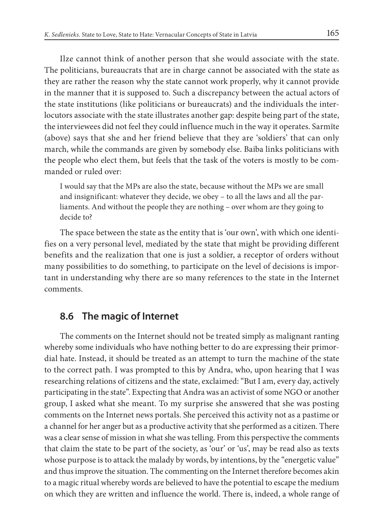Ilze cannot think of another person that she would associate with the state. The politicians, bureaucrats that are in charge cannot be associated with the state as they are rather the reason why the state cannot work properly, why it cannot provide in the manner that it is supposed to. Such a discrepancy between the actual actors of the state institutions (like politicians or bureaucrats) and the individuals the interlocutors associate with the state illustrates another gap: despite being part of the state, the interviewees did not feel they could influence much in the way it operates. Sarmīte (above) says that she and her friend believe that they are 'soldiers' that can only march, while the commands are given by somebody else. Baiba links politicians with the people who elect them, but feels that the task of the voters is mostly to be commanded or ruled over:

I would say that the MPs are also the state, because without the MPs we are small and insignificant: whatever they decide, we obey – to all the laws and all the parliaments. And without the people they are nothing – over whom are they going to decide to?

The space between the state as the entity that is 'our own', with which one identifies on a very personal level, mediated by the state that might be providing different benefits and the realization that one is just a soldier, a receptor of orders without many possibilities to do something, to participate on the level of decisions is important in understanding why there are so many references to the state in the Internet comments.

# **8.6 The magic of Internet**

The comments on the Internet should not be treated simply as malignant ranting whereby some individuals who have nothing better to do are expressing their primordial hate. Instead, it should be treated as an attempt to turn the machine of the state to the correct path. I was prompted to this by Andra, who, upon hearing that I was researching relations of citizens and the state, exclaimed: "But I am, every day, actively participating in the state". Expecting that Andra was an activist of some NGO or another group, I asked what she meant. To my surprise she answered that she was posting comments on the Internet news portals. She perceived this activity not as a pastime or a channel for her anger but as a productive activity that she performed as a citizen. There was a clear sense of mission in what she was telling. From this perspective the comments that claim the state to be part of the society, as 'our' or 'us', may be read also as texts whose purpose is to attack the malady by words, by intentions, by the "energetic value" and thus improve the situation. The commenting on the Internet therefore becomes akin to a magic ritual whereby words are believed to have the potential to escape the medium on which they are written and influence the world. There is, indeed, a whole range of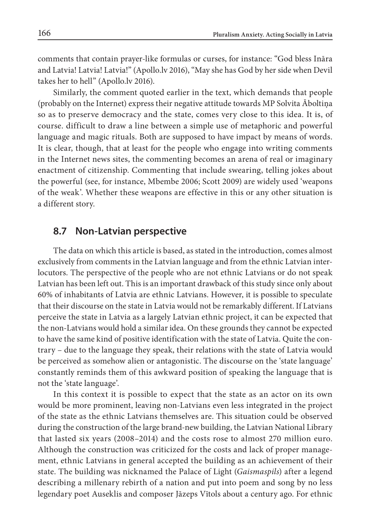comments that contain prayer-like formulas or curses, for instance: "God bless Ināra and Latvia! Latvia! Latvia!" (Apollo.lv 2016), "May she has God by her side when Devil takes her to hell" (Apollo.lv 2016).

Similarly, the comment quoted earlier in the text, which demands that people (probably on the Internet) express their negative attitude towards MP Solvita Āboltiņa so as to preserve democracy and the state, comes very close to this idea. It is, of course. difficult to draw a line between a simple use of metaphoric and powerful language and magic rituals. Both are supposed to have impact by means of words. It is clear, though, that at least for the people who engage into writing comments in the Internet news sites, the commenting becomes an arena of real or imaginary enactment of citizenship. Commenting that include swearing, telling jokes about the powerful (see, for instance, Mbembe 2006; Scott 2009) are widely used 'weapons of the weak'. Whether these weapons are effective in this or any other situation is a different story.

### **8.7 Non-Latvian perspective**

The data on which this article is based, as stated in the introduction, comes almost exclusively from comments in the Latvian language and from the ethnic Latvian interlocutors. The perspective of the people who are not ethnic Latvians or do not speak Latvian has been left out. This is an important drawback of this study since only about 60% of inhabitants of Latvia are ethnic Latvians. However, it is possible to speculate that their discourse on the state in Latvia would not be remarkably different. If Latvians perceive the state in Latvia as a largely Latvian ethnic project, it can be expected that the non-Latvians would hold a similar idea. On these grounds they cannot be expected to have the same kind of positive identification with the state of Latvia. Quite the contrary – due to the language they speak, their relations with the state of Latvia would be perceived as somehow alien or antagonistic. The discourse on the 'state language' constantly reminds them of this awkward position of speaking the language that is not the 'state language'.

In this context it is possible to expect that the state as an actor on its own would be more prominent, leaving non-Latvians even less integrated in the project of the state as the ethnic Latvians themselves are. This situation could be observed during the construction of the large brand-new building, the Latvian National Library that lasted six years (2008–2014) and the costs rose to almost 270 million euro. Although the construction was criticized for the costs and lack of proper management, ethnic Latvians in general accepted the building as an achievement of their state. The building was nicknamed the Palace of Light (*Gaismaspils*) after a legend describing a millenary rebirth of a nation and put into poem and song by no less legendary poet Auseklis and composer Jāzeps Vītols about a century ago. For ethnic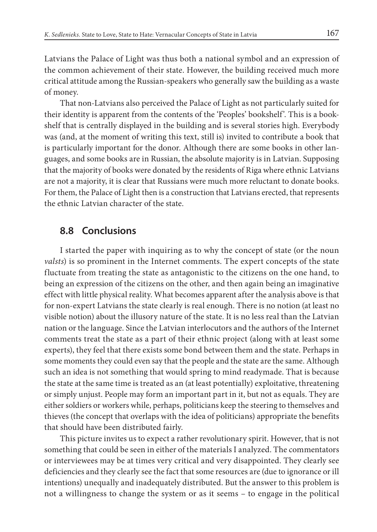Latvians the Palace of Light was thus both a national symbol and an expression of the common achievement of their state. However, the building received much more critical attitude among the Russian-speakers who generally saw the building as a waste of money.

That non-Latvians also perceived the Palace of Light as not particularly suited for their identity is apparent from the contents of the 'Peoples' bookshelf'. This is a bookshelf that is centrally displayed in the building and is several stories high. Everybody was (and, at the moment of writing this text, still is) invited to contribute a book that is particularly important for the donor. Although there are some books in other languages, and some books are in Russian, the absolute majority is in Latvian. Supposing that the majority of books were donated by the residents of Riga where ethnic Latvians are not a majority, it is clear that Russians were much more reluctant to donate books. For them, the Palace of Light then is a construction that Latvians erected, that represents the ethnic Latvian character of the state.

# **8.8 Conclusions**

I started the paper with inquiring as to why the concept of state (or the noun *valsts*) is so prominent in the Internet comments. The expert concepts of the state fluctuate from treating the state as antagonistic to the citizens on the one hand, to being an expression of the citizens on the other, and then again being an imaginative effect with little physical reality. What becomes apparent after the analysis above is that for non-expert Latvians the state clearly is real enough. There is no notion (at least no visible notion) about the illusory nature of the state. It is no less real than the Latvian nation or the language. Since the Latvian interlocutors and the authors of the Internet comments treat the state as a part of their ethnic project (along with at least some experts), they feel that there exists some bond between them and the state. Perhaps in some moments they could even say that the people and the state are the same. Although such an idea is not something that would spring to mind readymade. That is because the state at the same time is treated as an (at least potentially) exploitative, threatening or simply unjust. People may form an important part in it, but not as equals. They are either soldiers or workers while, perhaps, politicians keep the steering to themselves and thieves (the concept that overlaps with the idea of politicians) appropriate the benefits that should have been distributed fairly.

This picture invites us to expect a rather revolutionary spirit. However, that is not something that could be seen in either of the materials I analyzed. The commentators or interviewees may be at times very critical and very disappointed. They clearly see deficiencies and they clearly see the fact that some resources are (due to ignorance or ill intentions) unequally and inadequately distributed. But the answer to this problem is not a willingness to change the system or as it seems – to engage in the political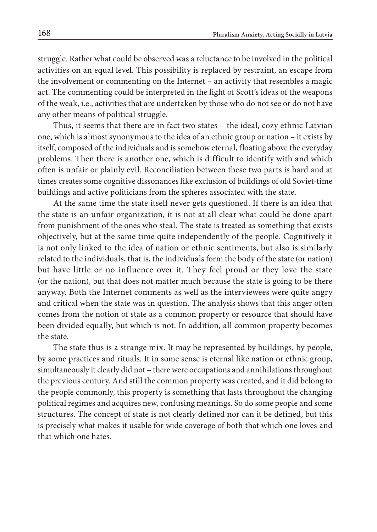struggle. Rather what could be observed was a reluctance to be involved in the political activities on an equal level. This possibility is replaced by restraint, an escape from the involvement or commenting on the Internet – an activity that resembles a magic act. The commenting could be interpreted in the light of Scott's ideas of the weapons of the weak, i.e., activities that are undertaken by those who do not see or do not have any other means of political struggle.

Thus, it seems that there are in fact two states – the ideal, cozy ethnic Latvian one, which is almost synonymous to the idea of an ethnic group or nation – it exists by itself, composed of the individuals and is somehow eternal, floating above the everyday problems. Then there is another one, which is difficult to identify with and which often is unfair or plainly evil. Reconciliation between these two parts is hard and at times creates some cognitive dissonances like exclusion of buildings of old Soviet-time buildings and active politicians from the spheres associated with the state.

At the same time the state itself never gets questioned. If there is an idea that the state is an unfair organization, it is not at all clear what could be done apart from punishment of the ones who steal. The state is treated as something that exists objectively, but at the same time quite independently of the people. Cognitively it is not only linked to the idea of nation or ethnic sentiments, but also is similarly related to the individuals, that is, the individuals form the body of the state (or nation) but have little or no influence over it. They feel proud or they love the state (or the nation), but that does not matter much because the state is going to be there anyway. Both the Internet comments as well as the interviewees were quite angry and critical when the state was in question. The analysis shows that this anger often comes from the notion of state as a common property or resource that should have been divided equally, but which is not. In addition, all common property becomes the state.

The state thus is a strange mix. It may be represented by buildings, by people, by some practices and rituals. It in some sense is eternal like nation or ethnic group, simultaneously it clearly did not – there were occupations and annihilations throughout the previous century. And still the common property was created, and it did belong to the people commonly, this property is something that lasts throughout the changing political regimes and acquires new, confusing meanings. So do some people and some structures. The concept of state is not clearly defined nor can it be defined, but this is precisely what makes it usable for wide coverage of both that which one loves and that which one hates.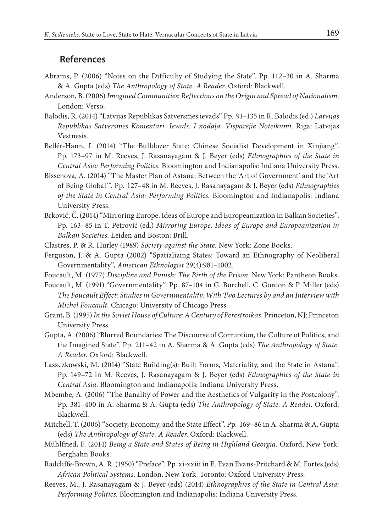#### **References**

- Abrams, P. (2006) "Notes on the Difficulty of Studying the State". Pp. 112–30 in A. Sharma & A. Gupta (eds) *The Anthropology of State. A Reader*. Oxford: Blackwell.
- Anderson, B. (2006) *Imagined Communities: Reflections on the Origin and Spread of Nationalism*. London: Verso.
- Balodis, R. (2014) "Latvijas Republikas Satversmes ievads" Pp. 91–135 in R. Balodis (ed.) *Latvijas Republikas Satversmes Koment*ā*ri. Ievads. I noda*ļ*a. Visp*ā*r*ē*jie Noteikumi*. Riga: Latvijas Vēstnesis.
- Bellér-Hann, I. (2014) "The Bulldozer State: Chinese Socialist Development in Xinjiang". Pp. 173–97 in M. Reeves, J. Rasanayagam & J. Beyer (eds) *Ethnographies of the State in Central Asia: Performing Politics*. Bloomington and Indianapolis: Indiana University Press.
- Bissenova, A. (2014) "The Master Plan of Astana: Between the 'Art of Government' and the 'Art of Being Global'". Pp. 127–48 in M. Reeves, J. Rasanayagam & J. Beyer (eds) *Ethnographies of the State in Central Asia: Performing Politics.* Bloomington and Indianapolis: Indiana University Press.
- Brković, Č. (2014) "Mirroring Europe. Ideas of Europe and Europeanization in Balkan Societies". Pp. 163–85 in T. Petrović (ed.) *Mirroring Europe. Ideas of Europe and Europeanization in Balkan Societies*. Leiden and Boston: Brill.
- Clastres, P. & R. Hurley (1989) *Society against the State*. New York: Zone Books.
- Ferguson, J. & A. Gupta (2002) "Spatializing States: Toward an Ethnography of Neoliberal Governmentality", *American Ethnologist* 29(4):981–1002.
- Foucault, M. (1977) *Discipline and Punish: The Birth of the Prison*. New York: Pantheon Books.

Foucault, M. (1991) "Governmentality". Pp. 87–104 in G. Burchell, C. Gordon & P. Miller (eds) *The Foucault Effect: Studies in Governmentality. With Two Lectures by and an Interview with Michel Foucault*. Chicago: University of Chicago Press.

- Grant, B. (1995) *In the Soviet House of Culture: ACentury of Perestroikas*. Princeton, NJ: Princeton University Press.
- Gupta, A. (2006) "Blurred Boundaries: The Discourse of Corruption, the Culture of Politics, and the Imagined State". Pp. 211–42 in A. Sharma & A. Gupta (eds) *The Anthropology of State. A Reader*. Oxford: Blackwell.
- Laszczkowski, M. (2014) "State Building(s): Built Forms, Materiality, and the State in Astana". Pp. 149–72 in M. Reeves, J. Rasanayagam & J. Beyer (eds) *Ethnographies of the State in Central Asia*. Bloomington and Indianapolis: Indiana University Press.
- Mbembe, A. (2006) "The Banality of Power and the Aesthetics of Vulgarity in the Postcolony". Pp. 381–400 in A. Sharma & A. Gupta (eds) *The Anthropology of State. A Reader*. Oxford: Blackwell.
- Mitchell, T. (2006) "Society, Economy, and the State Effect". Pp. 169–86 in A. Sharma & A. Gupta (eds) *The Anthropology of State. A Reader*. Oxford: Blackwell.
- Mühlfried, F. (2014) *Being a State and States of Being in Highland Georgia*. Oxford, New York: Berghahn Books.
- Radcliffe-Brown, A. R. (1950) "Preface". Pp. xi-xxiii in E. Evan Evans-Pritchard & M. Fortes (eds) *African Political Systems*. London, New York, Toronto: Oxford University Press.
- Reeves, M., J. Rasanayagam & J. Beyer (eds) (2014) *Ethnographies of the State in Central Asia: Performing Politics*. Bloomington and Indianapolis: Indiana University Press.